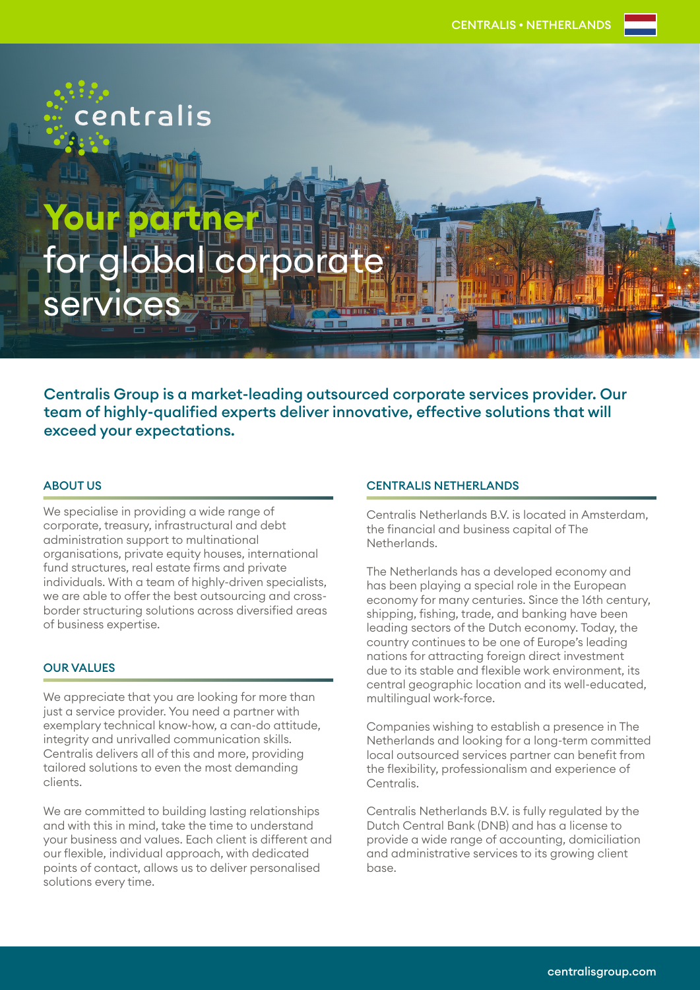# Your partner for global corpora services

entralis

Centralis Group is a market-leading outsourced corporate services provider. Our team of highly-qualified experts deliver innovative, effective solutions that will exceed your expectations.

### ABOUT US

We specialise in providing a wide range of corporate, treasury, infrastructural and debt administration support to multinational organisations, private equity houses, international fund structures, real estate firms and private individuals. With a team of highly-driven specialists, we are able to offer the best outsourcing and crossborder structuring solutions across diversified areas of business expertise.

## OUR VALUES

We appreciate that you are looking for more than just a service provider. You need a partner with exemplary technical know-how, a can-do attitude, integrity and unrivalled communication skills. Centralis delivers all of this and more, providing tailored solutions to even the most demanding clients.

We are committed to building lasting relationships and with this in mind, take the time to understand your business and values. Each client is different and our flexible, individual approach, with dedicated points of contact, allows us to deliver personalised solutions every time.

### CENTRALIS NETHERLANDS

Centralis Netherlands B.V. is located in Amsterdam, the financial and business capital of The Netherlands.

The Netherlands has a developed economy and has been playing a special role in the European economy for many centuries. Since the 16th century, shipping, fishing, trade, and banking have been leading sectors of the Dutch economy. Today, the country continues to be one of Europe's leading nations for attracting foreign direct investment due to its stable and flexible work environment, its central geographic location and its well-educated, multilingual work-force.

Companies wishing to establish a presence in The Netherlands and looking for a long-term committed local outsourced services partner can benefit from the flexibility, professionalism and experience of Centralis.

Centralis Netherlands B.V. is fully regulated by the Dutch Central Bank (DNB) and has a license to provide a wide range of accounting, domiciliation and administrative services to its growing client base.